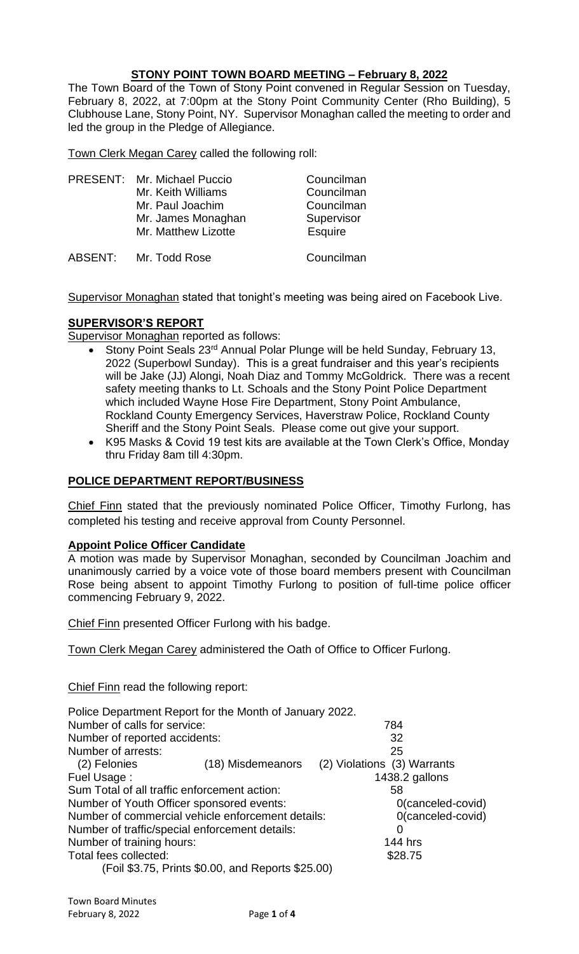# **STONY POINT TOWN BOARD MEETING – February 8, 2022**

The Town Board of the Town of Stony Point convened in Regular Session on Tuesday, February 8, 2022, at 7:00pm at the Stony Point Community Center (Rho Building), 5 Clubhouse Lane, Stony Point, NY. Supervisor Monaghan called the meeting to order and led the group in the Pledge of Allegiance.

Town Clerk Megan Carey called the following roll:

| PRESENT: Mr. Michael Puccio<br>Mr. Keith Williams<br>Mr. Paul Joachim<br>Mr. James Monaghan |                     | Councilman<br>Councilman<br>Councilman<br>Supervisor |
|---------------------------------------------------------------------------------------------|---------------------|------------------------------------------------------|
|                                                                                             | Mr. Matthew Lizotte | <b>Esquire</b>                                       |
| ABSENT:                                                                                     | Mr. Todd Rose       | Councilman                                           |

Supervisor Monaghan stated that tonight's meeting was being aired on Facebook Live.

# **SUPERVISOR'S REPORT**

**Supervisor Monaghan reported as follows:** 

- Stony Point Seals 23<sup>rd</sup> Annual Polar Plunge will be held Sunday, February 13, 2022 (Superbowl Sunday). This is a great fundraiser and this year's recipients will be Jake (JJ) Alongi, Noah Diaz and Tommy McGoldrick. There was a recent safety meeting thanks to Lt. Schoals and the Stony Point Police Department which included Wayne Hose Fire Department, Stony Point Ambulance, Rockland County Emergency Services, Haverstraw Police, Rockland County Sheriff and the Stony Point Seals. Please come out give your support.
- K95 Masks & Covid 19 test kits are available at the Town Clerk's Office, Monday thru Friday 8am till 4:30pm.

# **POLICE DEPARTMENT REPORT/BUSINESS**

Chief Finn stated that the previously nominated Police Officer, Timothy Furlong, has completed his testing and receive approval from County Personnel.

#### **Appoint Police Officer Candidate**

A motion was made by Supervisor Monaghan, seconded by Councilman Joachim and unanimously carried by a voice vote of those board members present with Councilman Rose being absent to appoint Timothy Furlong to position of full-time police officer commencing February 9, 2022.

Chief Finn presented Officer Furlong with his badge.

Town Clerk Megan Carey administered the Oath of Office to Officer Furlong.

Chief Finn read the following report:

| Police Department Report for the Month of January 2022. |                                                   |                             |                   |
|---------------------------------------------------------|---------------------------------------------------|-----------------------------|-------------------|
| Number of calls for service:                            |                                                   |                             | 784               |
| Number of reported accidents:                           |                                                   |                             | 32                |
| Number of arrests:                                      |                                                   |                             | 25                |
| (2) Felonies                                            | (18) Misdemeanors                                 | (2) Violations (3) Warrants |                   |
| Fuel Usage:                                             |                                                   |                             | 1438.2 gallons    |
| Sum Total of all traffic enforcement action:            |                                                   |                             | 58                |
| Number of Youth Officer sponsored events:               |                                                   |                             | 0(canceled-covid) |
| Number of commercial vehicle enforcement details:       |                                                   |                             | 0(canceled-covid) |
| Number of traffic/special enforcement details:          |                                                   |                             | 0                 |
| Number of training hours:                               |                                                   |                             | <b>144 hrs</b>    |
| Total fees collected:                                   |                                                   |                             | \$28.75           |
|                                                         | (Foil \$3.75, Prints \$0.00, and Reports \$25.00) |                             |                   |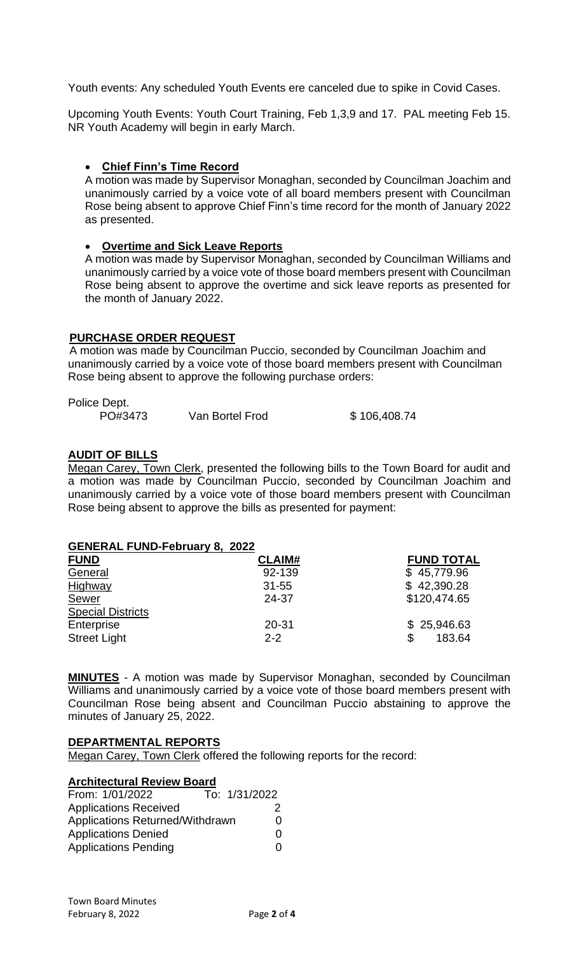Youth events: Any scheduled Youth Events ere canceled due to spike in Covid Cases.

Upcoming Youth Events: Youth Court Training, Feb 1,3,9 and 17. PAL meeting Feb 15. NR Youth Academy will begin in early March.

# • **Chief Finn's Time Record**

A motion was made by Supervisor Monaghan, seconded by Councilman Joachim and unanimously carried by a voice vote of all board members present with Councilman Rose being absent to approve Chief Finn's time record for the month of January 2022 as presented.

#### • **Overtime and Sick Leave Reports**

A motion was made by Supervisor Monaghan, seconded by Councilman Williams and unanimously carried by a voice vote of those board members present with Councilman Rose being absent to approve the overtime and sick leave reports as presented for the month of January 2022.

### **PURCHASE ORDER REQUEST**

 A motion was made by Councilman Puccio, seconded by Councilman Joachim and unanimously carried by a voice vote of those board members present with Councilman Rose being absent to approve the following purchase orders:

Police Dept.

PO#3473 Van Bortel Frod \$ 106,408.74

### **AUDIT OF BILLS**

Megan Carey, Town Clerk, presented the following bills to the Town Board for audit and a motion was made by Councilman Puccio, seconded by Councilman Joachim and unanimously carried by a voice vote of those board members present with Councilman Rose being absent to approve the bills as presented for payment:

| <b>GENERAL FUND-February 8, 2022</b> |               |                   |
|--------------------------------------|---------------|-------------------|
| <b>FUND</b>                          | <b>CLAIM#</b> | <b>FUND TOTAL</b> |
| General                              | 92-139        | \$45,779.96       |
| Highway                              | $31 - 55$     | \$42,390.28       |
| Sewer                                | 24-37         | \$120,474.65      |
| <b>Special Districts</b>             |               |                   |
| Enterprise                           | $20 - 31$     | \$25,946.63       |
| <b>Street Light</b>                  | $2 - 2$       | 183.64            |

**MINUTES** - A motion was made by Supervisor Monaghan, seconded by Councilman Williams and unanimously carried by a voice vote of those board members present with Councilman Rose being absent and Councilman Puccio abstaining to approve the minutes of January 25, 2022.

#### **DEPARTMENTAL REPORTS**

Megan Carey, Town Clerk offered the following reports for the record:

#### **Architectural Review Board**

| From: 1/01/2022                 | To: 1/31/2022 |          |
|---------------------------------|---------------|----------|
| <b>Applications Received</b>    |               | 2        |
| Applications Returned/Withdrawn |               | $^{(1)}$ |
| <b>Applications Denied</b>      |               | $\Omega$ |
| <b>Applications Pending</b>     |               |          |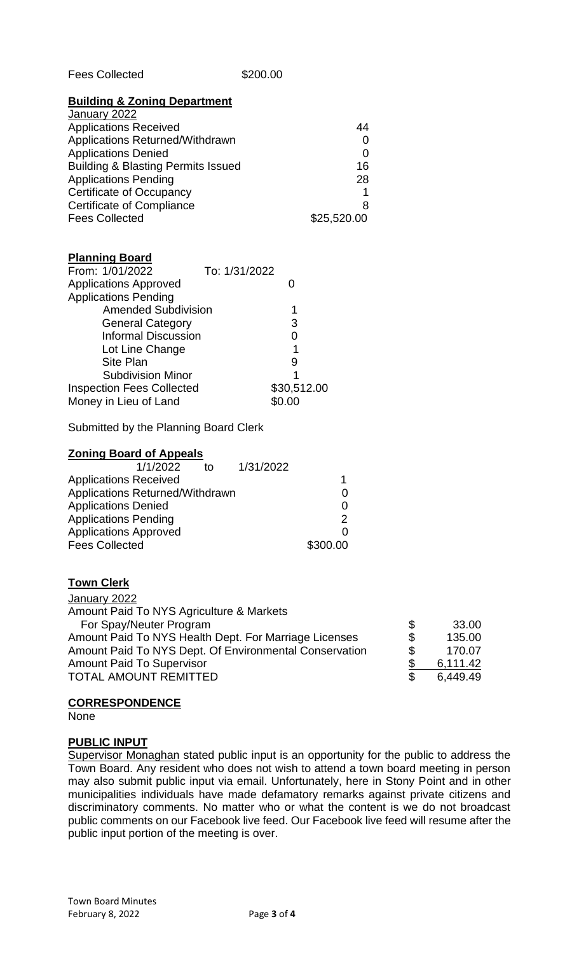| <b>Fees Collected</b> |  |
|-----------------------|--|
|-----------------------|--|

## \$200.00

#### **Building & Zoning Department**

| 44          |
|-------------|
|             |
| 0           |
| 16          |
| 28          |
|             |
| 8           |
| \$25,520.00 |
|             |

### **Planning Board**

| From: 1/01/2022                  | To: 1/31/2022 |             |
|----------------------------------|---------------|-------------|
| <b>Applications Approved</b>     |               |             |
| <b>Applications Pending</b>      |               |             |
| <b>Amended Subdivision</b>       |               |             |
| <b>General Category</b>          |               | 3           |
| <b>Informal Discussion</b>       |               |             |
| Lot Line Change                  |               |             |
| <b>Site Plan</b>                 |               | 9           |
| <b>Subdivision Minor</b>         |               |             |
| <b>Inspection Fees Collected</b> |               | \$30,512.00 |
| Money in Lieu of Land            |               | \$0.00      |

Submitted by the Planning Board Clerk

|                              | <b>Zoning Board of Appeals</b>  |    |           |          |
|------------------------------|---------------------------------|----|-----------|----------|
|                              | 1/1/2022                        | tΩ | 1/31/2022 |          |
| <b>Applications Received</b> |                                 |    |           |          |
|                              | Applications Returned/Withdrawn |    |           | 0        |
| <b>Applications Denied</b>   |                                 |    |           | 0        |
| <b>Applications Pending</b>  |                                 |    |           | 2        |
| <b>Applications Approved</b> |                                 |    |           | O        |
| <b>Fees Collected</b>        |                                 |    |           | \$300.00 |

# **Town Clerk**

| January 2022                                           |     |          |
|--------------------------------------------------------|-----|----------|
| Amount Paid To NYS Agriculture & Markets               |     |          |
| For Spay/Neuter Program                                | \$  | 33.00    |
| Amount Paid To NYS Health Dept. For Marriage Licenses  | \$  | 135.00   |
| Amount Paid To NYS Dept. Of Environmental Conservation | \$  | 170.07   |
| <b>Amount Paid To Supervisor</b>                       |     | 6,111.42 |
| <b>TOTAL AMOUNT REMITTED</b>                           | \$. | 6.449.49 |
|                                                        |     |          |

# **CORRESPONDENCE**

None

# **PUBLIC INPUT**

Supervisor Monaghan stated public input is an opportunity for the public to address the Town Board. Any resident who does not wish to attend a town board meeting in person may also submit public input via email. Unfortunately, here in Stony Point and in other municipalities individuals have made defamatory remarks against private citizens and discriminatory comments. No matter who or what the content is we do not broadcast public comments on our Facebook live feed. Our Facebook live feed will resume after the public input portion of the meeting is over.